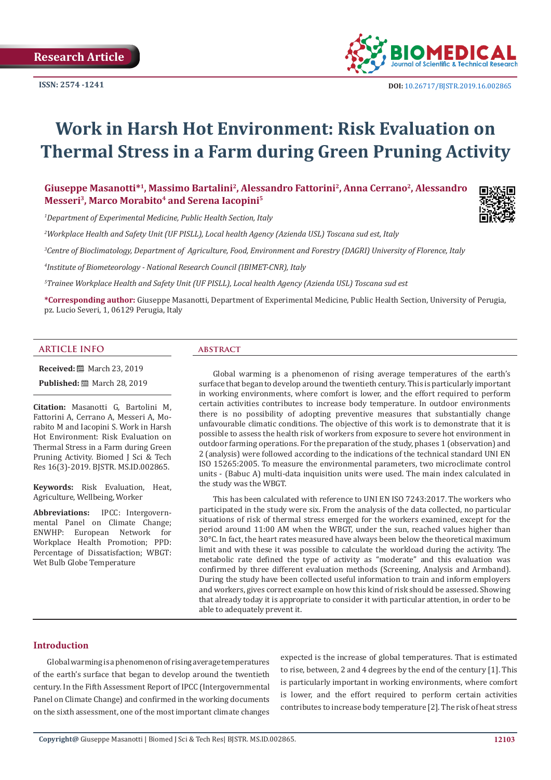**ISSN: 2574 -1241**



# **Work in Harsh Hot Environment: Risk Evaluation on Thermal Stress in a Farm during Green Pruning Activity**

# **Giuseppe Masanotti\*1, Massimo Bartalini2, Alessandro Fattorini2, Anna Cerrano2, Alessandro**  Messeri<sup>3</sup>, Marco Morabito<sup>4</sup> and Serena Iacopini<sup>5</sup>

*1 Department of Experimental Medicine, Public Health Section, Italy*

*2 Workplace Health and Safety Unit (UF PISLL), Local health Agency (Azienda USL) Toscana sud est, Italy*

*3 Centre of Bioclimatology, Department of Agriculture, Food, Environment and Forestry (DAGRI) University of Florence, Italy*

*4 Institute of Biometeorology - National Research Council (IBIMET-CNR), Italy*

*5 Trainee Workplace Health and Safety Unit (UF PISLL), Local health Agency (Azienda USL) Toscana sud est*

**\*Corresponding author:** Giuseppe Masanotti, Department of Experimental Medicine, Public Health Section, University of Perugia, pz. Lucio Severi, 1, 06129 Perugia, Italy

### **ARTICLE INFO abstract**

**Received:** ■ March 23, 2019

**Published:** ■ March 28, 2019

**Citation:** Masanotti G, Bartolini M, Fattorini A, Cerrano A, Messeri A, Morabito M and Iacopini S. Work in Harsh Hot Environment: Risk Evaluation on Thermal Stress in a Farm during Green Pruning Activity. Biomed J Sci & Tech Res 16(3)-2019. BJSTR. MS.ID.002865.

**Keywords:** Risk Evaluation, Heat, Agriculture, Wellbeing, Worker

**Abbreviations:** IPCC: Intergovernmental Panel on Climate Change; ENWHP: European Network for Workplace Health Promotion; PPD: Percentage of Dissatisfaction; WBGT: Wet Bulb Globe Temperature

Global warming is a phenomenon of rising average temperatures of the earth's surface that began to develop around the twentieth century. This is particularly important in working environments, where comfort is lower, and the effort required to perform certain activities contributes to increase body temperature. In outdoor environments there is no possibility of adopting preventive measures that substantially change unfavourable climatic conditions. The objective of this work is to demonstrate that it is possible to assess the health risk of workers from exposure to severe hot environment in outdoor farming operations. For the preparation of the study, phases 1 (observation) and 2 (analysis) were followed according to the indications of the technical standard UNI EN ISO 15265:2005. To measure the environmental parameters, two microclimate control units - (Babuc A) multi-data inquisition units were used. The main index calculated in the study was the WBGT.

This has been calculated with reference to UNI EN ISO 7243:2017. The workers who participated in the study were six. From the analysis of the data collected, no particular situations of risk of thermal stress emerged for the workers examined, except for the period around 11:00 AM when the WBGT, under the sun, reached values higher than 30°C. In fact, the heart rates measured have always been below the theoretical maximum limit and with these it was possible to calculate the workload during the activity. The metabolic rate defined the type of activity as "moderate" and this evaluation was confirmed by three different evaluation methods (Screening, Analysis and Armband). During the study have been collected useful information to train and inform employers and workers, gives correct example on how this kind of risk should be assessed. Showing that already today it is appropriate to consider it with particular attention, in order to be able to adequately prevent it.

# **Introduction**

Global warming is a phenomenon of rising average temperatures of the earth's surface that began to develop around the twentieth century. In the Fifth Assessment Report of IPCC (Intergovernmental Panel on Climate Change) and confirmed in the working documents on the sixth assessment, one of the most important climate changes expected is the increase of global temperatures. That is estimated to rise, between, 2 and 4 degrees by the end of the century [1]. This is particularly important in working environments, where comfort is lower, and the effort required to perform certain activities contributes to increase body temperature [2]. The risk of heat stress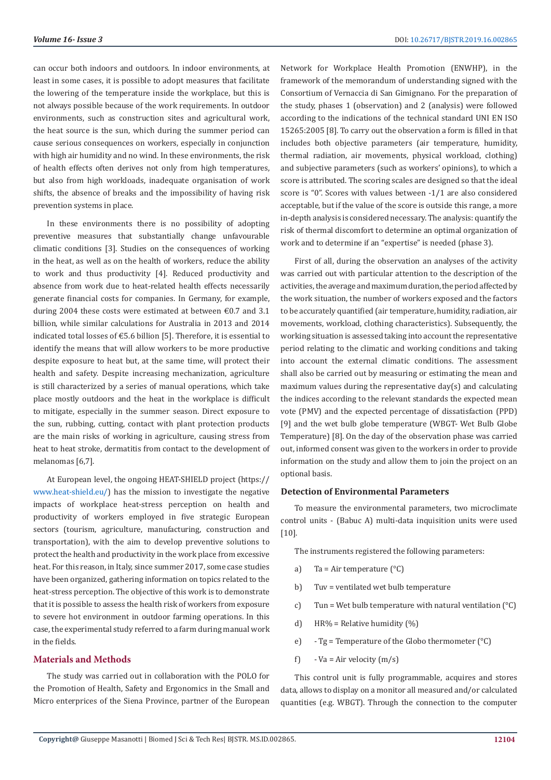can occur both indoors and outdoors. In indoor environments, at least in some cases, it is possible to adopt measures that facilitate the lowering of the temperature inside the workplace, but this is not always possible because of the work requirements. In outdoor environments, such as construction sites and agricultural work, the heat source is the sun, which during the summer period can cause serious consequences on workers, especially in conjunction with high air humidity and no wind. In these environments, the risk of health effects often derives not only from high temperatures, but also from high workloads, inadequate organisation of work shifts, the absence of breaks and the impossibility of having risk prevention systems in place.

In these environments there is no possibility of adopting preventive measures that substantially change unfavourable climatic conditions [3]. Studies on the consequences of working in the heat, as well as on the health of workers, reduce the ability to work and thus productivity [4]. Reduced productivity and absence from work due to heat-related health effects necessarily generate financial costs for companies. In Germany, for example, during 2004 these costs were estimated at between  $\epsilon$ 0.7 and 3.1 billion, while similar calculations for Australia in 2013 and 2014 indicated total losses of €5.6 billion [5]. Therefore, it is essential to identify the means that will allow workers to be more productive despite exposure to heat but, at the same time, will protect their health and safety. Despite increasing mechanization, agriculture is still characterized by a series of manual operations, which take place mostly outdoors and the heat in the workplace is difficult to mitigate, especially in the summer season. Direct exposure to the sun, rubbing, cutting, contact with plant protection products are the main risks of working in agriculture, causing stress from heat to heat stroke, dermatitis from contact to the development of melanomas [6,7].

At European level, the ongoing HEAT-SHIELD project (https:// [www.heat-shield.eu/\)](www.heat-shield.eu/) has the mission to investigate the negative impacts of workplace heat-stress perception on health and productivity of workers employed in five strategic European sectors (tourism, agriculture, manufacturing, construction and transportation), with the aim to develop preventive solutions to protect the health and productivity in the work place from excessive heat. For this reason, in Italy, since summer 2017, some case studies have been organized, gathering information on topics related to the heat-stress perception. The objective of this work is to demonstrate that it is possible to assess the health risk of workers from exposure to severe hot environment in outdoor farming operations. In this case, the experimental study referred to a farm during manual work in the fields.

#### **Materials and Methods**

The study was carried out in collaboration with the POLO for the Promotion of Health, Safety and Ergonomics in the Small and Micro enterprices of the Siena Province, partner of the European Network for Workplace Health Promotion (ENWHP), in the framework of the memorandum of understanding signed with the Consortium of Vernaccia di San Gimignano. For the preparation of the study, phases 1 (observation) and 2 (analysis) were followed according to the indications of the technical standard UNI EN ISO 15265:2005 [8]. To carry out the observation a form is filled in that includes both objective parameters (air temperature, humidity, thermal radiation, air movements, physical workload, clothing) and subjective parameters (such as workers' opinions), to which a score is attributed. The scoring scales are designed so that the ideal score is "0". Scores with values between -1/1 are also considered acceptable, but if the value of the score is outside this range, a more in-depth analysis is considered necessary. The analysis: quantify the risk of thermal discomfort to determine an optimal organization of work and to determine if an "expertise" is needed (phase 3).

First of all, during the observation an analyses of the activity was carried out with particular attention to the description of the activities, the average and maximum duration, the period affected by the work situation, the number of workers exposed and the factors to be accurately quantified (air temperature, humidity, radiation, air movements, workload, clothing characteristics). Subsequently, the working situation is assessed taking into account the representative period relating to the climatic and working conditions and taking into account the external climatic conditions. The assessment shall also be carried out by measuring or estimating the mean and maximum values during the representative day(s) and calculating the indices according to the relevant standards the expected mean vote (PMV) and the expected percentage of dissatisfaction (PPD) [9] and the wet bulb globe temperature (WBGT- Wet Bulb Globe Temperature) [8]. On the day of the observation phase was carried out, informed consent was given to the workers in order to provide information on the study and allow them to join the project on an optional basis.

### **Detection of Environmental Parameters**

To measure the environmental parameters, two microclimate control units - (Babuc A) multi-data inquisition units were used [10].

The instruments registered the following parameters:

- a) Ta = Air temperature  $(^\circ \text{C})$
- b) Tuv = ventilated wet bulb temperature
- c) Tun = Wet bulb temperature with natural ventilation  $(^{\circ}C)$
- d) HR% = Relative humidity  $(\%)$
- e) Tg = Temperature of the Globo thermometer (°C)
- f)  $Va = Air velocity (m/s)$

This control unit is fully programmable, acquires and stores data, allows to display on a monitor all measured and/or calculated quantities (e.g. WBGT). Through the connection to the computer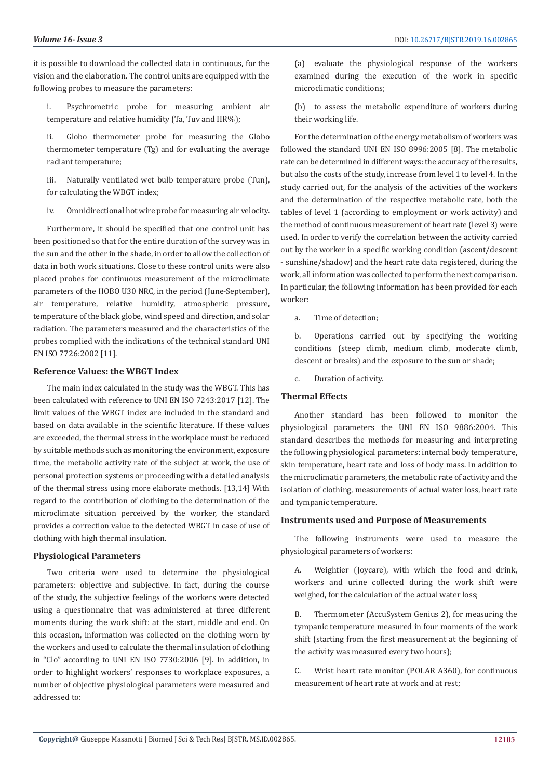it is possible to download the collected data in continuous, for the vision and the elaboration. The control units are equipped with the following probes to measure the parameters:

i. Psychrometric probe for measuring ambient air temperature and relative humidity (Ta, Tuv and HR%);

ii. Globo thermometer probe for measuring the Globo thermometer temperature (Tg) and for evaluating the average radiant temperature;

iii. Naturally ventilated wet bulb temperature probe (Tun), for calculating the WBGT index;

iv. Omnidirectional hot wire probe for measuring air velocity.

Furthermore, it should be specified that one control unit has been positioned so that for the entire duration of the survey was in the sun and the other in the shade, in order to allow the collection of data in both work situations. Close to these control units were also placed probes for continuous measurement of the microclimate parameters of the HOBO U30 NRC, in the period (June-September), air temperature, relative humidity, atmospheric pressure, temperature of the black globe, wind speed and direction, and solar radiation. The parameters measured and the characteristics of the probes complied with the indications of the technical standard UNI EN ISO 7726:2002 [11].

# **Reference Values: the WBGT Index**

The main index calculated in the study was the WBGT. This has been calculated with reference to UNI EN ISO 7243:2017 [12]. The limit values of the WBGT index are included in the standard and based on data available in the scientific literature. If these values are exceeded, the thermal stress in the workplace must be reduced by suitable methods such as monitoring the environment, exposure time, the metabolic activity rate of the subject at work, the use of personal protection systems or proceeding with a detailed analysis of the thermal stress using more elaborate methods. [13,14] With regard to the contribution of clothing to the determination of the microclimate situation perceived by the worker, the standard provides a correction value to the detected WBGT in case of use of clothing with high thermal insulation.

# **Physiological Parameters**

Two criteria were used to determine the physiological parameters: objective and subjective. In fact, during the course of the study, the subjective feelings of the workers were detected using a questionnaire that was administered at three different moments during the work shift: at the start, middle and end. On this occasion, information was collected on the clothing worn by the workers and used to calculate the thermal insulation of clothing in "Clo" according to UNI EN ISO 7730:2006 [9]. In addition, in order to highlight workers' responses to workplace exposures, a number of objective physiological parameters were measured and addressed to:

(a) evaluate the physiological response of the workers examined during the execution of the work in specific microclimatic conditions;

(b) to assess the metabolic expenditure of workers during their working life.

For the determination of the energy metabolism of workers was followed the standard UNI EN ISO 8996:2005 [8]. The metabolic rate can be determined in different ways: the accuracy of the results, but also the costs of the study, increase from level 1 to level 4. In the study carried out, for the analysis of the activities of the workers and the determination of the respective metabolic rate, both the tables of level 1 (according to employment or work activity) and the method of continuous measurement of heart rate (level 3) were used. In order to verify the correlation between the activity carried out by the worker in a specific working condition (ascent/descent - sunshine/shadow) and the heart rate data registered, during the work, all information was collected to perform the next comparison. In particular, the following information has been provided for each worker:

a. Time of detection;

b. Operations carried out by specifying the working conditions (steep climb, medium climb, moderate climb, descent or breaks) and the exposure to the sun or shade;

c. Duration of activity.

# **Thermal Effects**

Another standard has been followed to monitor the physiological parameters the UNI EN ISO 9886:2004. This standard describes the methods for measuring and interpreting the following physiological parameters: internal body temperature, skin temperature, heart rate and loss of body mass. In addition to the microclimatic parameters, the metabolic rate of activity and the isolation of clothing, measurements of actual water loss, heart rate and tympanic temperature.

# **Instruments used and Purpose of Measurements**

The following instruments were used to measure the physiological parameters of workers:

A. Weightier (Joycare), with which the food and drink, workers and urine collected during the work shift were weighed, for the calculation of the actual water loss;

Thermometer (AccuSystem Genius 2), for measuring the tympanic temperature measured in four moments of the work shift (starting from the first measurement at the beginning of the activity was measured every two hours);

C. Wrist heart rate monitor (POLAR A360), for continuous measurement of heart rate at work and at rest;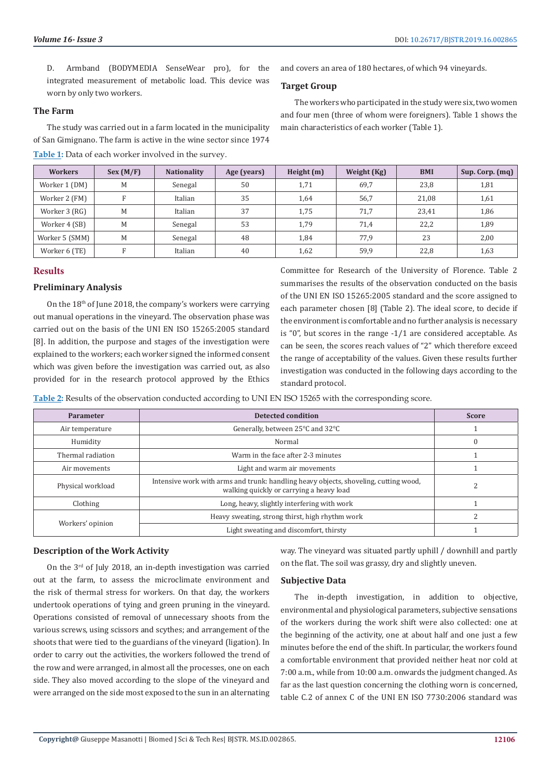D. Armband (BODYMEDIA SenseWear pro), for the integrated measurement of metabolic load. This device was worn by only two workers.

#### **The Farm**

The study was carried out in a farm located in the municipality of San Gimignano. The farm is active in the wine sector since 1974 **Table 1:** Data of each worker involved in the survey.

and covers an area of 180 hectares, of which 94 vineyards.

# **Target Group**

The workers who participated in the study were six, two women and four men (three of whom were foreigners). Table 1 shows the main characteristics of each worker (Table 1).

| <b>Workers</b> | Sex (M/F) | <b>Nationality</b> | Age (years) | Height $(m)$ | Weight (Kg) | <b>BMI</b> | Sup. Corp. (mq) |
|----------------|-----------|--------------------|-------------|--------------|-------------|------------|-----------------|
| Worker 1 (DM)  | M         | Senegal            | 50          | 1,71         | 69,7        | 23,8       | 1,81            |
| Worker 2 (FM)  | Е         | Italian            | 35          | 1,64         | 56,7        | 21,08      | 1,61            |
| Worker 3 (RG)  | M         | Italian            | 37          | 1,75         | 71,7        | 23,41      | 1,86            |
| Worker 4 (SB)  | M         | Senegal            | 53          | 1,79         | 71,4        | 22,2       | 1,89            |
| Worker 5 (SMM) | M         | Senegal            | 48          | 1,84         | 77,9        | 23         | 2,00            |
| Worker 6 (TE)  | Е         | Italian            | 40          | 1,62         | 59,9        | 22,8       | 1,63            |

# **Results**

# **Preliminary Analysis**

On the 18th of June 2018, the company's workers were carrying out manual operations in the vineyard. The observation phase was carried out on the basis of the UNI EN ISO 15265:2005 standard [8]. In addition, the purpose and stages of the investigation were explained to the workers; each worker signed the informed consent which was given before the investigation was carried out, as also provided for in the research protocol approved by the Ethics

Committee for Research of the University of Florence. Table 2 summarises the results of the observation conducted on the basis of the UNI EN ISO 15265:2005 standard and the score assigned to each parameter chosen [8] (Table 2). The ideal score, to decide if the environment is comfortable and no further analysis is necessary is "0", but scores in the range -1/1 are considered acceptable. As can be seen, the scores reach values of "2" which therefore exceed the range of acceptability of the values. Given these results further investigation was conducted in the following days according to the standard protocol.

**Table 2:** Results of the observation conducted according to UNI EN ISO 15265 with the corresponding score.

| Parameter                                                                                                                                             | Detected condition                              | <b>Score</b> |
|-------------------------------------------------------------------------------------------------------------------------------------------------------|-------------------------------------------------|--------------|
| Air temperature                                                                                                                                       | Generally, between 25°C and 32°C                |              |
| Humidity                                                                                                                                              | Normal                                          | $\mathbf{0}$ |
| Thermal radiation                                                                                                                                     | Warm in the face after 2-3 minutes              |              |
| Air movements                                                                                                                                         | Light and warm air movements                    |              |
| Intensive work with arms and trunk: handling heavy objects, shoveling, cutting wood,<br>Physical workload<br>walking quickly or carrying a heavy load |                                                 |              |
| Long, heavy, slightly interfering with work<br>Clothing                                                                                               |                                                 |              |
|                                                                                                                                                       | Heavy sweating, strong thirst, high rhythm work |              |
| Workers' opinion                                                                                                                                      | Light sweating and discomfort, thirsty          |              |

# **Description of the Work Activity**

On the 3rd of July 2018, an in-depth investigation was carried out at the farm, to assess the microclimate environment and the risk of thermal stress for workers. On that day, the workers undertook operations of tying and green pruning in the vineyard. Operations consisted of removal of unnecessary shoots from the various screws, using scissors and scythes; and arrangement of the shoots that were tied to the guardians of the vineyard (ligation). In order to carry out the activities, the workers followed the trend of the row and were arranged, in almost all the processes, one on each side. They also moved according to the slope of the vineyard and were arranged on the side most exposed to the sun in an alternating

way. The vineyard was situated partly uphill / downhill and partly on the flat. The soil was grassy, dry and slightly uneven.

# **Subjective Data**

The in-depth investigation, in addition to objective, environmental and physiological parameters, subjective sensations of the workers during the work shift were also collected: one at the beginning of the activity, one at about half and one just a few minutes before the end of the shift. In particular, the workers found a comfortable environment that provided neither heat nor cold at 7:00 a.m., while from 10:00 a.m. onwards the judgment changed. As far as the last question concerning the clothing worn is concerned, table C.2 of annex C of the UNI EN ISO 7730:2006 standard was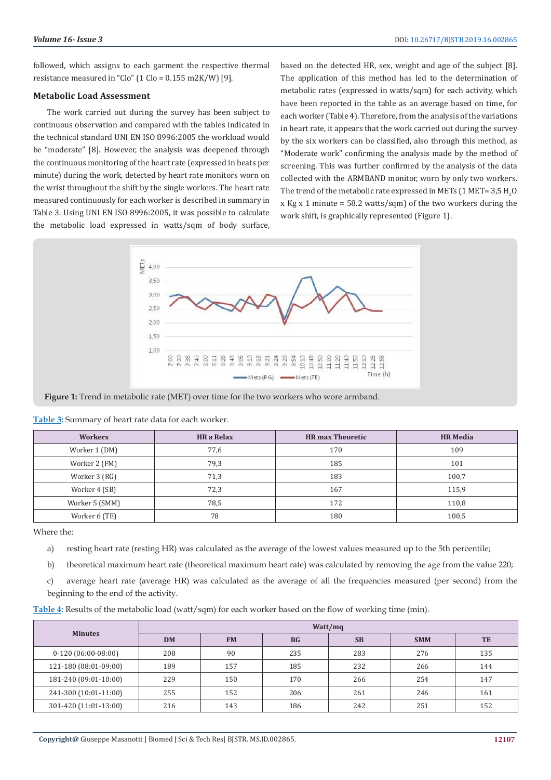followed, which assigns to each garment the respective thermal resistance measured in "Clo" (1 Clo =  $0.155$  m2K/W) [9].

# **Metabolic Load Assessment**

The work carried out during the survey has been subject to continuous observation and compared with the tables indicated in the technical standard UNI EN ISO 8996:2005 the workload would be "moderate" [8]. However, the analysis was deepened through the continuous monitoring of the heart rate (expressed in beats per minute) during the work, detected by heart rate monitors worn on the wrist throughout the shift by the single workers. The heart rate measured continuously for each worker is described in summary in Table 3. Using UNI EN ISO 8996:2005, it was possible to calculate the metabolic load expressed in watts/sqm of body surface, based on the detected HR, sex, weight and age of the subject [8]. The application of this method has led to the determination of metabolic rates (expressed in watts/sqm) for each activity, which have been reported in the table as an average based on time, for each worker (Table 4). Therefore, from the analysis of the variations in heart rate, it appears that the work carried out during the survey by the six workers can be classified, also through this method, as "Moderate work" confirming the analysis made by the method of screening. This was further confirmed by the analysis of the data collected with the ARMBAND monitor, worn by only two workers. The trend of the metabolic rate expressed in METs (1 MET= 3,5  $\rm H_2O$ x Kg x 1 minute =  $58.2$  watts/sqm) of the two workers during the work shift, is graphically represented (Figure 1).



**Figure 1:** Trend in metabolic rate (MET) over time for the two workers who wore armband.

| <b>There</b> of Summary of Heart rate addition cache worker. |                   |                         |                 |  |  |  |
|--------------------------------------------------------------|-------------------|-------------------------|-----------------|--|--|--|
| <b>Workers</b>                                               | <b>HR</b> a Relax | <b>HR</b> max Theoretic | <b>HR Media</b> |  |  |  |
| Worker 1 (DM)                                                | 77,6              | 170                     | 109             |  |  |  |
| Worker 2 (FM)                                                | 79,3              | 185                     | 101             |  |  |  |
| Worker 3 (RG)                                                | 71,3              | 183                     | 100,7           |  |  |  |
| Worker 4 (SB)                                                | 72,3              | 167                     | 115,9           |  |  |  |
| Worker 5 (SMM)                                               | 78,5              | 172                     | 110,8           |  |  |  |

**Table 3:** Summary of heart rate data for each worker.

Where the:

a) resting heart rate (resting HR) was calculated as the average of the lowest values measured up to the 5th percentile;

Worker 6 (TE) 78 180 100,5

- b) theoretical maximum heart rate (theoretical maximum heart rate) was calculated by removing the age from the value 220;
- c) average heart rate (average HR) was calculated as the average of all the frequencies measured (per second) from the beginning to the end of the activity.

| Table 4: Results of the metabolic load (watt/sqm) for each worker based on the flow of working time (min). |  |  |  |
|------------------------------------------------------------------------------------------------------------|--|--|--|
|                                                                                                            |  |  |  |

| <b>Minutes</b>        | Watt/mq   |           |           |           |            |           |  |
|-----------------------|-----------|-----------|-----------|-----------|------------|-----------|--|
|                       | <b>DM</b> | <b>FM</b> | <b>RG</b> | <b>SB</b> | <b>SMM</b> | <b>TE</b> |  |
| $0-120(06:00-08:00)$  | 208       | 90        | 235       | 283       | 276        | 135       |  |
| 121-180 (08:01-09:00) | 189       | 157       | 185       | 232       | 266        | 144       |  |
| 181-240 (09:01-10:00) | 229       | 150       | 170       | 266       | 254        | 147       |  |
| 241-300 (10:01-11:00) | 255       | 152       | 206       | 261       | 246        | 161       |  |
| 301-420 (11:01-13:00) | 216       | 143       | 186       | 242       | 251        | 152       |  |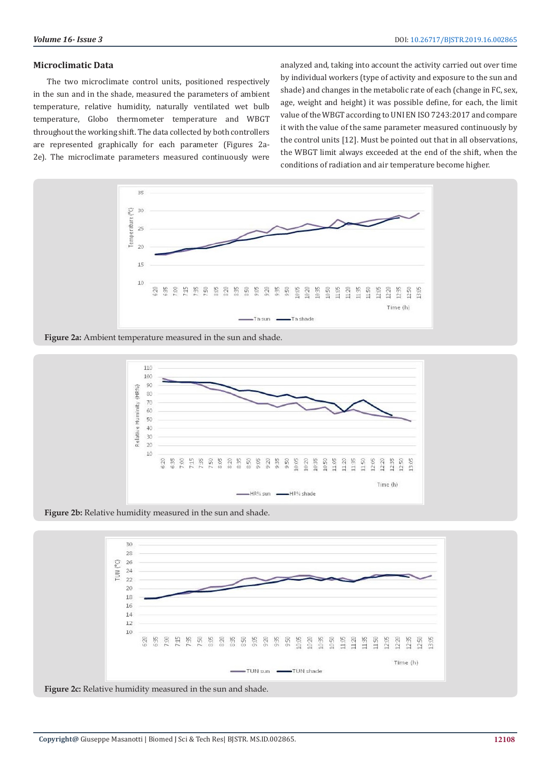# **Microclimatic Data**

The two microclimate control units, positioned respectively in the sun and in the shade, measured the parameters of ambient temperature, relative humidity, naturally ventilated wet bulb temperature, Globo thermometer temperature and WBGT throughout the working shift. The data collected by both controllers are represented graphically for each parameter (Figures 2a-2e). The microclimate parameters measured continuously were

analyzed and, taking into account the activity carried out over time by individual workers (type of activity and exposure to the sun and shade) and changes in the metabolic rate of each (change in FC, sex, age, weight and height) it was possible define, for each, the limit value of the WBGT according to UNI EN ISO 7243:2017 and compare it with the value of the same parameter measured continuously by the control units [12]. Must be pointed out that in all observations, the WBGT limit always exceeded at the end of the shift, when the conditions of radiation and air temperature become higher.



**Figure 2a:** Ambient temperature measured in the sun and shade.



Figure 2b: Relative humidity measured in the sun and shade.



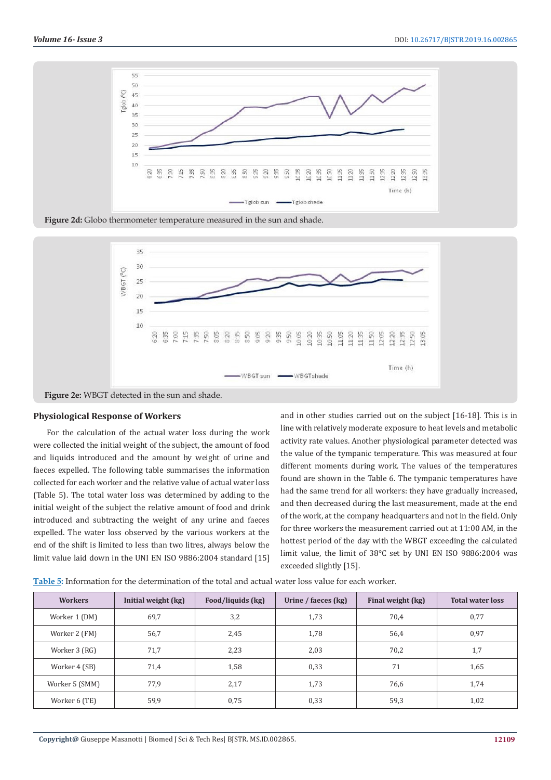

**Figure 2d:** Globo thermometer temperature measured in the sun and shade.



**Figure 2e:** WBGT detected in the sun and shade.

#### **Physiological Response of Workers**

For the calculation of the actual water loss during the work were collected the initial weight of the subject, the amount of food and liquids introduced and the amount by weight of urine and faeces expelled. The following table summarises the information collected for each worker and the relative value of actual water loss (Table 5). The total water loss was determined by adding to the initial weight of the subject the relative amount of food and drink introduced and subtracting the weight of any urine and faeces expelled. The water loss observed by the various workers at the end of the shift is limited to less than two litres, always below the limit value laid down in the UNI EN ISO 9886:2004 standard [15]

and in other studies carried out on the subject [16-18]. This is in line with relatively moderate exposure to heat levels and metabolic activity rate values. Another physiological parameter detected was the value of the tympanic temperature. This was measured at four different moments during work. The values of the temperatures found are shown in the Table 6. The tympanic temperatures have had the same trend for all workers: they have gradually increased, and then decreased during the last measurement, made at the end of the work, at the company headquarters and not in the field. Only for three workers the measurement carried out at 11:00 AM, in the hottest period of the day with the WBGT exceeding the calculated limit value, the limit of 38°C set by UNI EN ISO 9886:2004 was exceeded slightly [15].

| Table 5: Information for the determination of the total and actual water loss value for each worker. |  |  |  |
|------------------------------------------------------------------------------------------------------|--|--|--|
|------------------------------------------------------------------------------------------------------|--|--|--|

| <b>Workers</b> | Initial weight (kg) | Food/liquids (kg) | Urine / faeces (kg) | Final weight (kg) | <b>Total water loss</b> |
|----------------|---------------------|-------------------|---------------------|-------------------|-------------------------|
| Worker 1 (DM)  | 69,7                | 3,2               | 1,73                | 70,4              | 0,77                    |
| Worker 2 (FM)  | 56,7                | 2,45              | 1,78                | 56,4              | 0,97                    |
| Worker 3 (RG)  | 71,7                | 2,23              | 2,03                | 70,2              | 1,7                     |
| Worker 4 (SB)  | 71,4                | 1,58              | 0,33                | 71                | 1,65                    |
| Worker 5 (SMM) | 77,9                | 2,17              | 1,73                | 76,6              | 1,74                    |
| Worker 6 (TE)  | 59,9                | 0,75              | 0,33                | 59,3              | 1,02                    |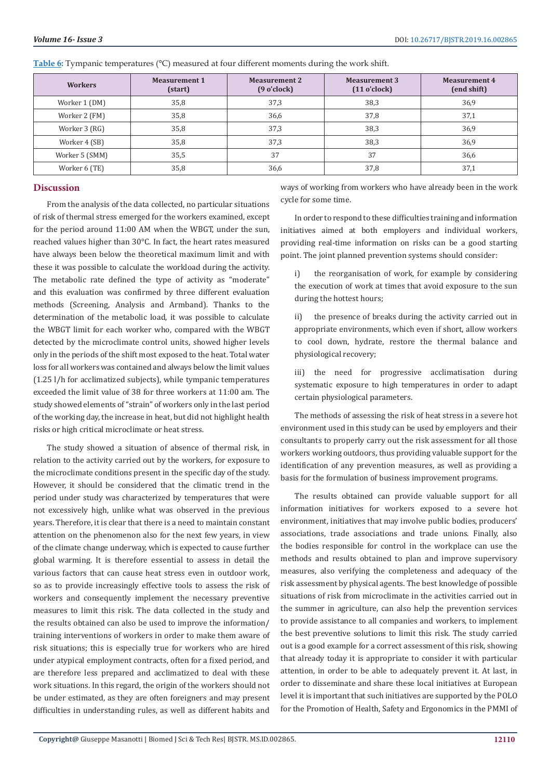| <b>Workers</b> | <b>Measurement 1</b><br>(start) | <b>Measurement 2</b><br>$(9 \text{ o'clock})$ | Measurement 3<br>$(11 \text{ o'clock})$ | <b>Measurement 4</b><br>(end shift) |
|----------------|---------------------------------|-----------------------------------------------|-----------------------------------------|-------------------------------------|
| Worker 1 (DM)  | 35,8                            | 37,3                                          | 38,3                                    | 36,9                                |
| Worker 2 (FM)  | 35,8                            | 36,6                                          | 37,8                                    | 37,1                                |
| Worker 3 (RG)  | 35,8                            | 37,3                                          | 38,3                                    | 36,9                                |
| Worker 4 (SB)  | 35,8                            | 37,3                                          | 38,3                                    | 36,9                                |
| Worker 5 (SMM) | 35,5                            | 37                                            | 37                                      | 36,6                                |
| Worker 6 (TE)  | 35,8                            | 36,6                                          | 37,8                                    | 37,1                                |

**Table 6:** Tympanic temperatures (°C) measured at four different moments during the work shift.

#### **Discussion**

From the analysis of the data collected, no particular situations of risk of thermal stress emerged for the workers examined, except for the period around 11:00 AM when the WBGT, under the sun, reached values higher than 30°C. In fact, the heart rates measured have always been below the theoretical maximum limit and with these it was possible to calculate the workload during the activity. The metabolic rate defined the type of activity as "moderate" and this evaluation was confirmed by three different evaluation methods (Screening, Analysis and Armband). Thanks to the determination of the metabolic load, it was possible to calculate the WBGT limit for each worker who, compared with the WBGT detected by the microclimate control units, showed higher levels only in the periods of the shift most exposed to the heat. Total water loss for all workers was contained and always below the limit values (1.25 l/h for acclimatized subjects), while tympanic temperatures exceeded the limit value of 38 for three workers at 11:00 am. The study showed elements of "strain" of workers only in the last period of the working day, the increase in heat, but did not highlight health risks or high critical microclimate or heat stress.

The study showed a situation of absence of thermal risk, in relation to the activity carried out by the workers, for exposure to the microclimate conditions present in the specific day of the study. However, it should be considered that the climatic trend in the period under study was characterized by temperatures that were not excessively high, unlike what was observed in the previous years. Therefore, it is clear that there is a need to maintain constant attention on the phenomenon also for the next few years, in view of the climate change underway, which is expected to cause further global warming. It is therefore essential to assess in detail the various factors that can cause heat stress even in outdoor work, so as to provide increasingly effective tools to assess the risk of workers and consequently implement the necessary preventive measures to limit this risk. The data collected in the study and the results obtained can also be used to improve the information/ training interventions of workers in order to make them aware of risk situations; this is especially true for workers who are hired under atypical employment contracts, often for a fixed period, and are therefore less prepared and acclimatized to deal with these work situations. In this regard, the origin of the workers should not be under estimated, as they are often foreigners and may present difficulties in understanding rules, as well as different habits and

ways of working from workers who have already been in the work cycle for some time.

In order to respond to these difficulties training and information initiatives aimed at both employers and individual workers, providing real-time information on risks can be a good starting point. The joint planned prevention systems should consider:

i) the reorganisation of work, for example by considering the execution of work at times that avoid exposure to the sun during the hottest hours;

ii) the presence of breaks during the activity carried out in appropriate environments, which even if short, allow workers to cool down, hydrate, restore the thermal balance and physiological recovery;

iii) the need for progressive acclimatisation during systematic exposure to high temperatures in order to adapt certain physiological parameters.

The methods of assessing the risk of heat stress in a severe hot environment used in this study can be used by employers and their consultants to properly carry out the risk assessment for all those workers working outdoors, thus providing valuable support for the identification of any prevention measures, as well as providing a basis for the formulation of business improvement programs.

The results obtained can provide valuable support for all information initiatives for workers exposed to a severe hot environment, initiatives that may involve public bodies, producers' associations, trade associations and trade unions. Finally, also the bodies responsible for control in the workplace can use the methods and results obtained to plan and improve supervisory measures, also verifying the completeness and adequacy of the risk assessment by physical agents. The best knowledge of possible situations of risk from microclimate in the activities carried out in the summer in agriculture, can also help the prevention services to provide assistance to all companies and workers, to implement the best preventive solutions to limit this risk. The study carried out is a good example for a correct assessment of this risk, showing that already today it is appropriate to consider it with particular attention, in order to be able to adequately prevent it. At last, in order to disseminate and share these local initiatives at European level it is important that such initiatives are supported by the POLO for the Promotion of Health, Safety and Ergonomics in the PMMI of